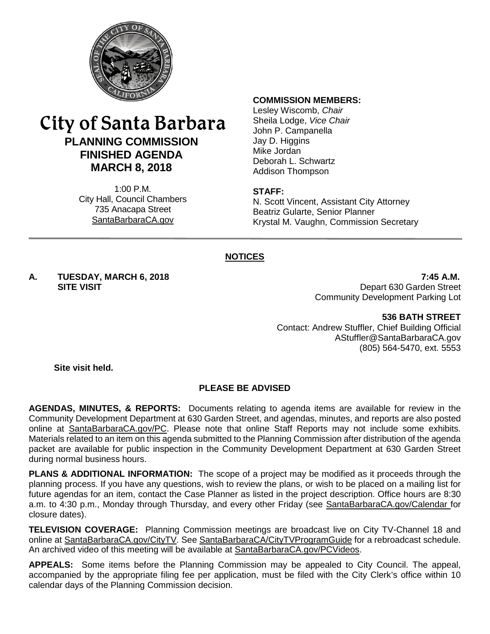

# City of Santa Barbara **PLANNING COMMISSION FINISHED AGENDA MARCH 8, 2018**

1:00 P.M. City Hall, Council Chambers 735 Anacapa Street SantaBarbaraCA.gov

#### **COMMISSION MEMBERS:**

Lesley Wiscomb, *Chair* Sheila Lodge, *Vice Chair* John P. Campanella Jay D. Higgins Mike Jordan Deborah L. Schwartz Addison Thompson

#### **STAFF:**

N. Scott Vincent, Assistant City Attorney Beatriz Gularte, Senior Planner Krystal M. Vaughn, Commission Secretary

### **NOTICES**

**A. TUESDAY, MARCH 6, 2018 7:45 A.M.**

Depart 630 Garden Street Community Development Parking Lot

#### **536 BATH STREET**

Contact: Andrew Stuffler, Chief Building Official [AStuffler@SantaBarbaraCA.gov](mailto:AStuffler@SantaBarbaraCA.gov) (805) 564-5470, ext. 5553

**Site visit held.**

### **PLEASE BE ADVISED**

**AGENDAS, MINUTES, & REPORTS:** Documents relating to agenda items are available for review in the Community Development Department at 630 Garden Street, and agendas, minutes, and reports are also posted online at [SantaBarbaraCA.gov/PC.](http://www.santabarbaraca.gov/PC) Please note that online Staff Reports may not include some exhibits. Materials related to an item on this agenda submitted to the Planning Commission after distribution of the agenda packet are available for public inspection in the Community Development Department at 630 Garden Street during normal business hours.

**PLANS & ADDITIONAL INFORMATION:** The scope of a project may be modified as it proceeds through the planning process. If you have any questions, wish to review the plans, or wish to be placed on a mailing list for future agendas for an item, contact the Case Planner as listed in the project description. Office hours are 8:30 a.m. to 4:30 p.m., Monday through Thursday, and every other Friday (see [SantaBarbaraCA.gov/Calendar](http://www.santabarbaraca.gov/cals/default.asp) for closure dates).

**TELEVISION COVERAGE:** Planning Commission meetings are broadcast live on City TV-Channel 18 and online at [SantaBarbaraCA.gov/CityTV.](http://www.santabarbaraca.gov/CityTV) See [SantaBarbaraCA/CityTVProgramGuide](http://www.santabarbaraca.gov/gov/depts/cityadmin/programming.asp) for a rebroadcast schedule. An archived video of this meeting will be available at **SantaBarbaraCA.gov/PCVideos.** 

**APPEALS:** Some items before the Planning Commission may be appealed to City Council. The appeal, accompanied by the appropriate filing fee per application, must be filed with the City Clerk's office within 10 calendar days of the Planning Commission decision.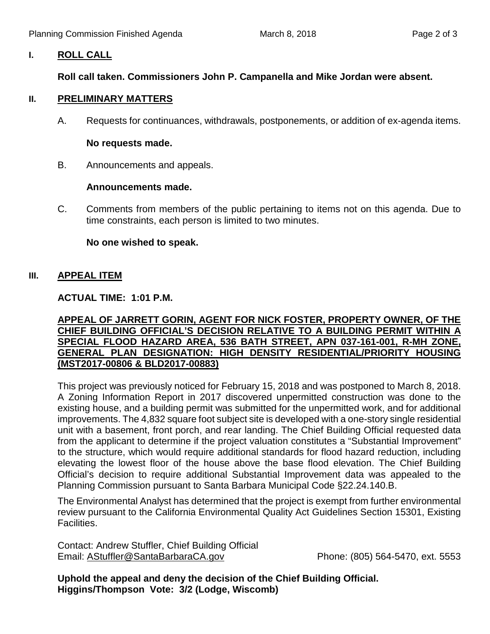## **I. ROLL CALL**

# **Roll call taken. Commissioners John P. Campanella and Mike Jordan were absent.**

#### **II. PRELIMINARY MATTERS**

A. Requests for continuances, withdrawals, postponements, or addition of ex-agenda items.

#### **No requests made.**

B. Announcements and appeals.

#### **Announcements made.**

C. Comments from members of the public pertaining to items not on this agenda. Due to time constraints, each person is limited to two minutes.

### **No one wished to speak.**

### **III. APPEAL ITEM**

**ACTUAL TIME: 1:01 P.M.**

### **APPEAL OF JARRETT GORIN, AGENT FOR NICK FOSTER, PROPERTY OWNER, OF THE CHIEF BUILDING OFFICIAL'S DECISION RELATIVE TO A BUILDING PERMIT WITHIN A SPECIAL FLOOD HAZARD AREA, 536 BATH STREET, APN 037-161-001, R-MH ZONE, GENERAL PLAN DESIGNATION: HIGH DENSITY RESIDENTIAL/PRIORITY HOUSING (MST2017-00806 & BLD2017-00883)**

This project was previously noticed for February 15, 2018 and was postponed to March 8, 2018. A Zoning Information Report in 2017 discovered unpermitted construction was done to the existing house, and a building permit was submitted for the unpermitted work, and for additional improvements. The 4,832 square foot subject site is developed with a one-story single residential unit with a basement, front porch, and rear landing. The Chief Building Official requested data from the applicant to determine if the project valuation constitutes a "Substantial Improvement" to the structure, which would require additional standards for flood hazard reduction, including elevating the lowest floor of the house above the base flood elevation. The Chief Building Official's decision to require additional Substantial Improvement data was appealed to the Planning Commission pursuant to Santa Barbara Municipal Code §22.24.140.B.

The Environmental Analyst has determined that the project is exempt from further environmental review pursuant to the California Environmental Quality Act Guidelines Section 15301, Existing Facilities.

Contact: Andrew Stuffler, Chief Building Official Email: [AStuffler@SantaBarbaraCA.gov](mailto:AStuffler@SantaBarbaraCA.gov) Phone: (805) 564-5470, ext. 5553

**Uphold the appeal and deny the decision of the Chief Building Official. Higgins/Thompson Vote: 3/2 (Lodge, Wiscomb)**